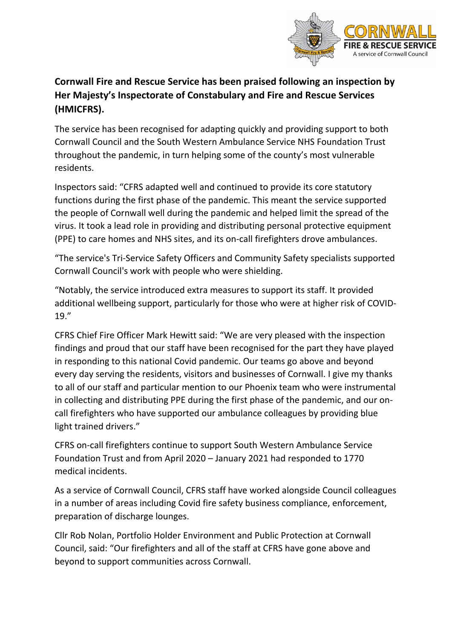

## **Cornwall Fire and Rescue Service has been praised following an inspection by Her Majesty's Inspectorate of Constabulary and Fire and Rescue Services (HMICFRS).**

The service has been recognised for adapting quickly and providing support to both Cornwall Council and the South Western Ambulance Service NHS Foundation Trust throughout the pandemic, in turn helping some of the county's most vulnerable residents.

Inspectors said: "CFRS adapted well and continued to provide its core statutory functions during the first phase of the pandemic. This meant the service supported the people of Cornwall well during the pandemic and helped limit the spread of the virus. It took a lead role in providing and distributing personal protective equipment (PPE) to care homes and NHS sites, and its on-call firefighters drove ambulances.

"The service's Tri-Service Safety Officers and Community Safety specialists supported Cornwall Council's work with people who were shielding.

"Notably, the service introduced extra measures to support its staff. It provided additional wellbeing support, particularly for those who were at higher risk of COVID-19."

CFRS Chief Fire Officer Mark Hewitt said: "We are very pleased with the inspection findings and proud that our staff have been recognised for the part they have played in responding to this national Covid pandemic. Our teams go above and beyond every day serving the residents, visitors and businesses of Cornwall. I give my thanks to all of our staff and particular mention to our Phoenix team who were instrumental in collecting and distributing PPE during the first phase of the pandemic, and our oncall firefighters who have supported our ambulance colleagues by providing blue light trained drivers."

CFRS on-call firefighters continue to support South Western Ambulance Service Foundation Trust and from April 2020 – January 2021 had responded to 1770 medical incidents.

As a service of Cornwall Council, CFRS staff have worked alongside Council colleagues in a number of areas including Covid fire safety business compliance, enforcement, preparation of discharge lounges.

Cllr Rob Nolan, Portfolio Holder Environment and Public Protection at Cornwall Council, said: "Our firefighters and all of the staff at CFRS have gone above and beyond to support communities across Cornwall.